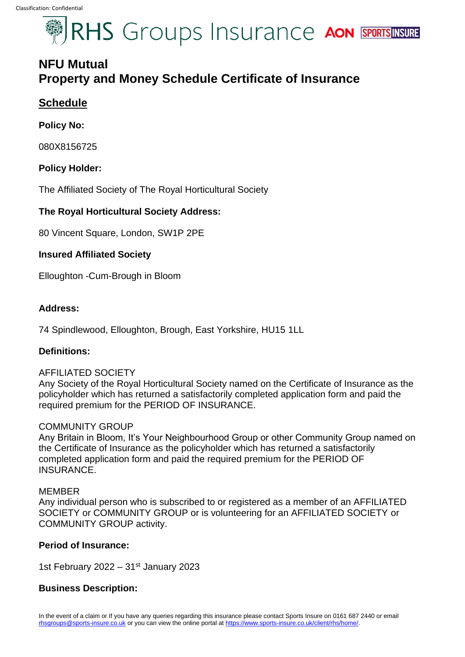# RHS Groups Insurance AON SPORTSINSURE

## **NFU Mutual Property and Money Schedule Certificate of Insurance**

## **Schedule**

## **Policy No:**

080X8156725

## **Policy Holder:**

The Affiliated Society of The Royal Horticultural Society

## **The Royal Horticultural Society Address:**

80 Vincent Square, London, SW1P 2PE

## **Insured Affiliated Society**

Elloughton -Cum-Brough in Bloom

## **Address:**

74 Spindlewood, Elloughton, Brough, East Yorkshire, HU15 1LL

## **Definitions:**

## AFFILIATED SOCIETY

Any Society of the Royal Horticultural Society named on the Certificate of Insurance as the policyholder which has returned a satisfactorily completed application form and paid the required premium for the PERIOD OF INSURANCE.

## COMMUNITY GROUP

Any Britain in Bloom, It's Your Neighbourhood Group or other Community Group named on the Certificate of Insurance as the policyholder which has returned a satisfactorily completed application form and paid the required premium for the PERIOD OF INSURANCE.

## MEMBER

Any individual person who is subscribed to or registered as a member of an AFFILIATED SOCIETY or COMMUNITY GROUP or is volunteering for an AFFILIATED SOCIETY or COMMUNITY GROUP activity.

## **Period of Insurance:**

1st February 2022 –  $31<sup>st</sup>$  January 2023

## **Business Description:**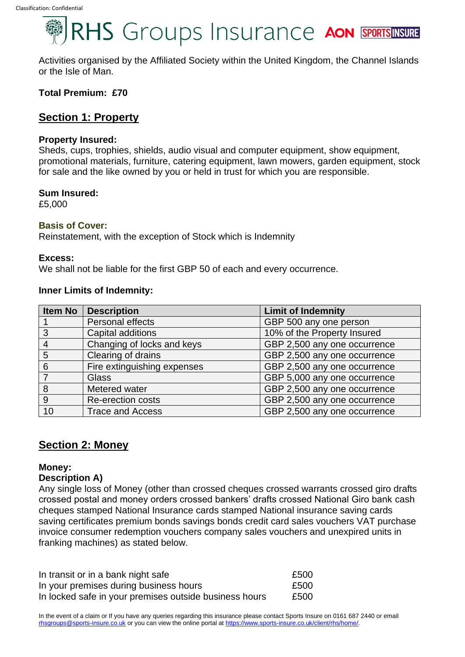# RHS Groups Insurance AON SPORTSINSURE

Activities organised by the Affiliated Society within the United Kingdom, the Channel Islands or the Isle of Man.

#### **Total Premium: £70**

## **Section 1: Property**

#### **Property Insured:**

Sheds, cups, trophies, shields, audio visual and computer equipment, show equipment, promotional materials, furniture, catering equipment, lawn mowers, garden equipment, stock for sale and the like owned by you or held in trust for which you are responsible.

#### **Sum Insured:**

£5,000

#### **Basis of Cover:**

Reinstatement, with the exception of Stock which is Indemnity

#### **Excess:**

We shall not be liable for the first GBP 50 of each and every occurrence.

#### **Inner Limits of Indemnity:**

| Item No | <b>Description</b>          | <b>Limit of Indemnity</b>    |
|---------|-----------------------------|------------------------------|
|         | Personal effects            | GBP 500 any one person       |
| 3       | Capital additions           | 10% of the Property Insured  |
| 4       | Changing of locks and keys  | GBP 2,500 any one occurrence |
| 5       | Clearing of drains          | GBP 2,500 any one occurrence |
| 6       | Fire extinguishing expenses | GBP 2,500 any one occurrence |
|         | <b>Glass</b>                | GBP 5,000 any one occurrence |
| 8       | Metered water               | GBP 2,500 any one occurrence |
| 9       | <b>Re-erection costs</b>    | GBP 2,500 any one occurrence |
| 10      | <b>Trace and Access</b>     | GBP 2,500 any one occurrence |

## **Section 2: Money**

#### **Money:**

#### **Description A)**

Any single loss of Money (other than crossed cheques crossed warrants crossed giro drafts crossed postal and money orders crossed bankers' drafts crossed National Giro bank cash cheques stamped National Insurance cards stamped National insurance saving cards saving certificates premium bonds savings bonds credit card sales vouchers VAT purchase invoice consumer redemption vouchers company sales vouchers and unexpired units in franking machines) as stated below.

| In transit or in a bank night safe                     | £500 |
|--------------------------------------------------------|------|
| In your premises during business hours                 | £500 |
| In locked safe in your premises outside business hours | £500 |